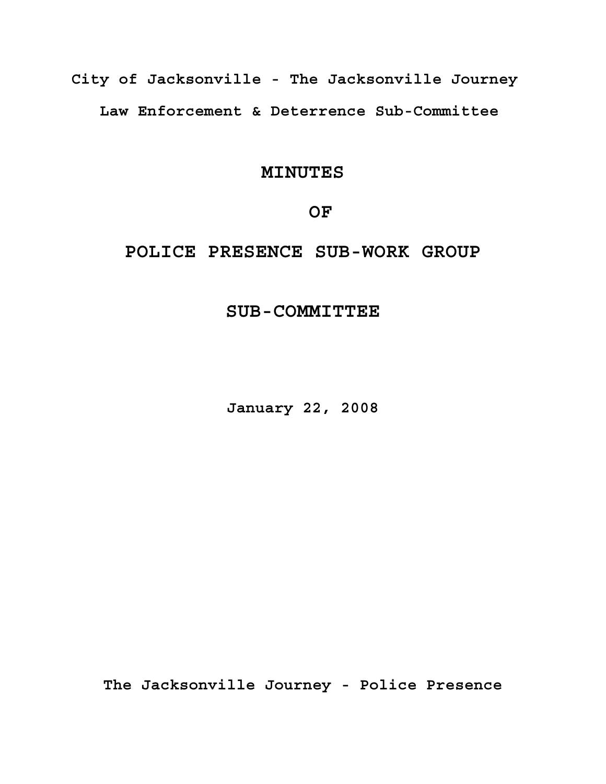**City of Jacksonville - The Jacksonville Journey Law Enforcement & Deterrence Sub-Committee**

## **MINUTES**

### **OF**

# **POLICE PRESENCE SUB-WORK GROUP**

# **SUB-COMMITTEE**

**January 22, 2008**

**The Jacksonville Journey - Police Presence**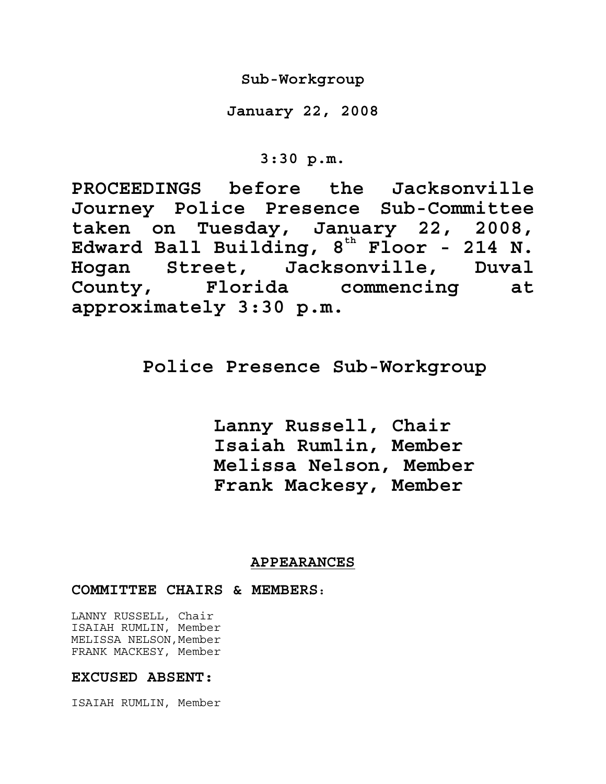**Sub-Workgroup** 

**January 22, 2008** 

**3:30 p.m.** 

**PROCEEDINGS before the Jacksonville Journey Police Presence Sub-Committee taken on Tuesday, January 22, 2008,**  Edward Ball Building, 8<sup>th</sup> Floor - 214 N. **Hogan Street, Jacksonville, Duval County, Florida commencing at approximately 3:30 p.m.**

# **Police Presence Sub-Workgroup**

 **Lanny Russell, Chair Isaiah Rumlin, Member Melissa Nelson, Member Frank Mackesy, Member**

### **APPEARANCES**

**COMMITTEE CHAIRS & MEMBERS:** 

LANNY RUSSELL, Chair ISAIAH RUMLIN, Member MELISSA NELSON, Member FRANK MACKESY, Member

### **EXCUSED ABSENT:**

ISAIAH RUMLIN, Member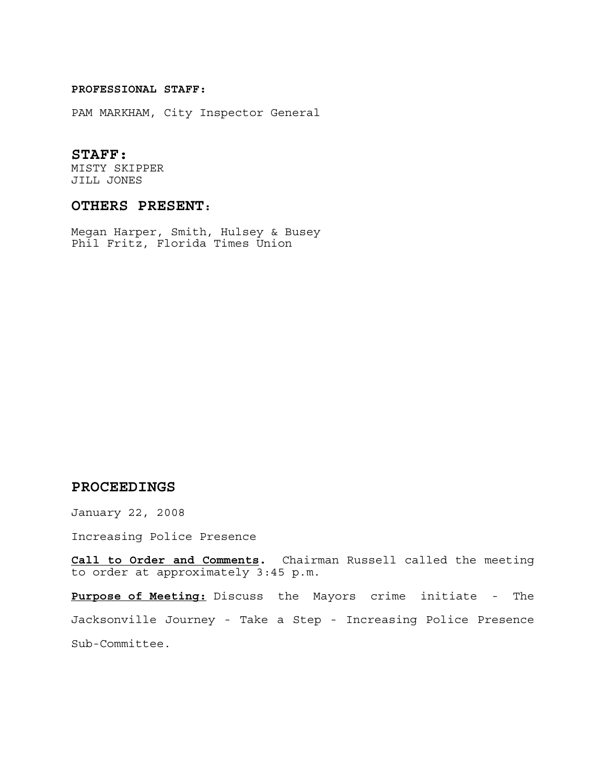#### **PROFESSIONAL STAFF:**

PAM MARKHAM, City Inspector General

#### **STAFF:**

MISTY SKIPPER JILL JONES

### **OTHERS PRESENT:**

Megan Harper, Smith, Hulsey & Busey Phil Fritz, Florida Times Union

### **PROCEEDINGS**

January 22, 2008

Increasing Police Presence

**Call to Order and Comments.** Chairman Russell called the meeting to order at approximately 3:45 p.m.

**Purpose of Meeting:** Discuss the Mayors crime initiate - The Jacksonville Journey - Take a Step - Increasing Police Presence Sub-Committee.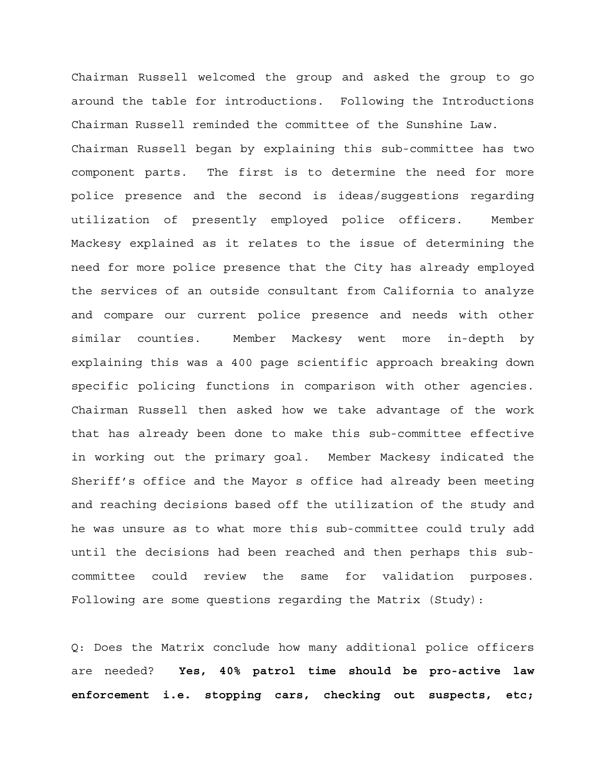Chairman Russell welcomed the group and asked the group to go around the table for introductions. Following the Introductions Chairman Russell reminded the committee of the Sunshine Law. Chairman Russell began by explaining this sub-committee has two component parts. The first is to determine the need for more police presence and the second is ideas/suggestions regarding utilization of presently employed police officers. Member Mackesy explained as it relates to the issue of determining the need for more police presence that the City has already employed the services of an outside consultant from California to analyze and compare our current police presence and needs with other similar counties. Member Mackesy went more in-depth by explaining this was a 400 page scientific approach breaking down specific policing functions in comparison with other agencies. Chairman Russell then asked how we take advantage of the work that has already been done to make this sub-committee effective in working out the primary goal. Member Mackesy indicated the Sheriff's office and the Mayor s office had already been meeting and reaching decisions based off the utilization of the study and he was unsure as to what more this sub-committee could truly add until the decisions had been reached and then perhaps this subcommittee could review the same for validation purposes. Following are some questions regarding the Matrix (Study):

Q: Does the Matrix conclude how many additional police officers are needed? **Yes, 40% patrol time should be pro-active law enforcement i.e. stopping cars, checking out suspects, etc;**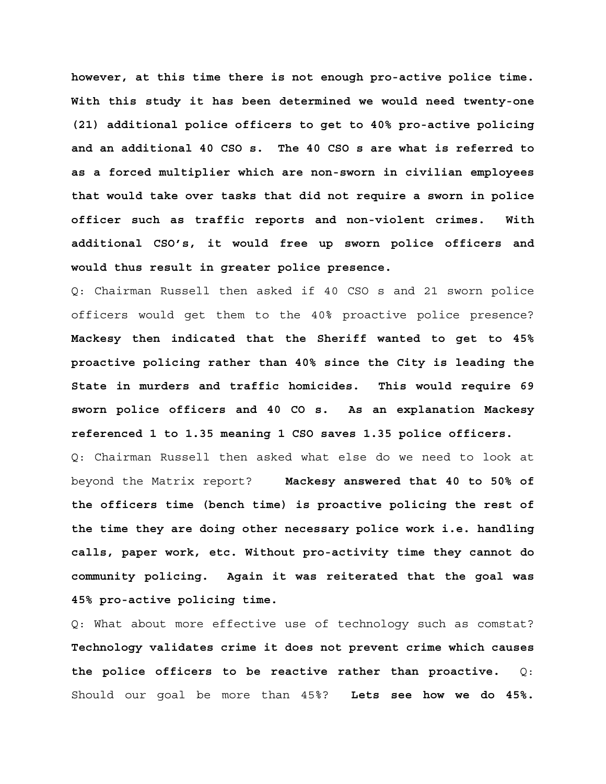**however, at this time there is not enough pro-active police time. With this study it has been determined we would need twenty-one (21) additional police officers to get to 40% pro-active policing and an additional 40 CSO s. The 40 CSO s are what is referred to as a forced multiplier which are non-sworn in civilian employees that would take over tasks that did not require a sworn in police officer such as traffic reports and non-violent crimes. With additional CSO's, it would free up sworn police officers and would thus result in greater police presence.** 

Q: Chairman Russell then asked if 40 CSO s and 21 sworn police officers would get them to the 40% proactive police presence? **Mackesy then indicated that the Sheriff wanted to get to 45% proactive policing rather than 40% since the City is leading the State in murders and traffic homicides. This would require 69 sworn police officers and 40 CO s. As an explanation Mackesy referenced 1 to 1.35 meaning 1 CSO saves 1.35 police officers.**  Q: Chairman Russell then asked what else do we need to look at beyond the Matrix report? **Mackesy answered that 40 to 50% of the officers time (bench time) is proactive policing the rest of the time they are doing other necessary police work i.e. handling calls, paper work, etc. Without pro-activity time they cannot do community policing. Again it was reiterated that the goal was** 

**45% pro-active policing time.** 

Q: What about more effective use of technology such as comstat? **Technology validates crime it does not prevent crime which causes the police officers to be reactive rather than proactive.** Q: Should our goal be more than 45%? **Lets see how we do 45%.**